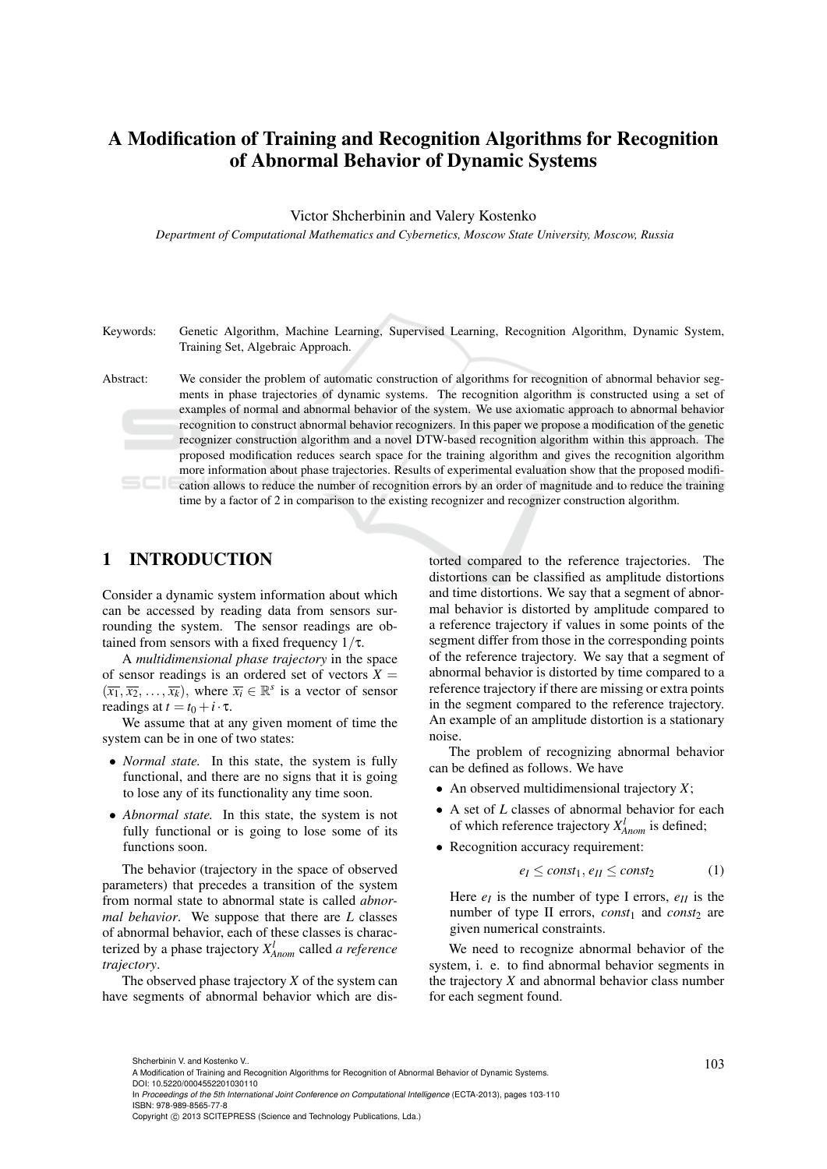# A Modification of Training and Recognition Algorithms for Recognition of Abnormal Behavior of Dynamic Systems

#### Victor Shcherbinin and Valery Kostenko

*Department of Computational Mathematics and Cybernetics, Moscow State University, Moscow, Russia*

Keywords: Genetic Algorithm, Machine Learning, Supervised Learning, Recognition Algorithm, Dynamic System, Training Set, Algebraic Approach.

Abstract: We consider the problem of automatic construction of algorithms for recognition of abnormal behavior segments in phase trajectories of dynamic systems. The recognition algorithm is constructed using a set of examples of normal and abnormal behavior of the system. We use axiomatic approach to abnormal behavior recognition to construct abnormal behavior recognizers. In this paper we propose a modification of the genetic recognizer construction algorithm and a novel DTW-based recognition algorithm within this approach. The proposed modification reduces search space for the training algorithm and gives the recognition algorithm more information about phase trajectories. Results of experimental evaluation show that the proposed modification allows to reduce the number of recognition errors by an order of magnitude and to reduce the training time by a factor of 2 in comparison to the existing recognizer and recognizer construction algorithm.

## 1 INTRODUCTION

Consider a dynamic system information about which can be accessed by reading data from sensors surrounding the system. The sensor readings are obtained from sensors with a fixed frequency  $1/\tau$ .

A *multidimensional phase trajectory* in the space of sensor readings is an ordered set of vectors  $X =$  $(\overline{x_1}, \overline{x_2}, \ldots, \overline{x_k})$ , where  $\overline{x_i} \in \mathbb{R}^s$  is a vector of sensor readings at  $t = t_0 + i \cdot \tau$ .

We assume that at any given moment of time the system can be in one of two states:

- *Normal state.* In this state, the system is fully functional, and there are no signs that it is going to lose any of its functionality any time soon.
- *Abnormal state*. In this state, the system is not fully functional or is going to lose some of its functions soon.

The behavior (trajectory in the space of observed parameters) that precedes a transition of the system from normal state to abnormal state is called *abnormal behavior*. We suppose that there are *L* classes of abnormal behavior, each of these classes is characterized by a phase trajectory *X l Anom* called *a reference trajectory*.

The observed phase trajectory *X* of the system can have segments of abnormal behavior which are distorted compared to the reference trajectories. The distortions can be classified as amplitude distortions and time distortions. We say that a segment of abnormal behavior is distorted by amplitude compared to a reference trajectory if values in some points of the segment differ from those in the corresponding points of the reference trajectory. We say that a segment of abnormal behavior is distorted by time compared to a reference trajectory if there are missing or extra points in the segment compared to the reference trajectory. An example of an amplitude distortion is a stationary noise.

The problem of recognizing abnormal behavior can be defined as follows. We have

- An observed multidimensional trajectory *X*;
- A set of *L* classes of abnormal behavior for each of which reference trajectory *X l Anom* is defined;
- Recognition accuracy requirement:

$$
e_I \le const_1, e_{II} \le const_2 \tag{1}
$$

Here  $e_I$  is the number of type I errors,  $e_{II}$  is the number of type II errors,  $const_1$  and  $const_2$  are given numerical constraints.

We need to recognize abnormal behavior of the system, i. e. to find abnormal behavior segments in the trajectory *X* and abnormal behavior class number for each segment found.

Shcherbinin V. and Kostenko V..<br>A Modification of Training and Recognition Algorithms for Recognition of Abnormal Behavior of Dynamic Systems.

DOI: 10.5220/0004552201030110

In *Proceedings of the 5th International Joint Conference on Computational Intelligence* (ECTA-2013), pages 103-110 ISBN: 978-989-8565-77-8

Copyright © 2013 SCITEPRESS (Science and Technology Publications, Lda.)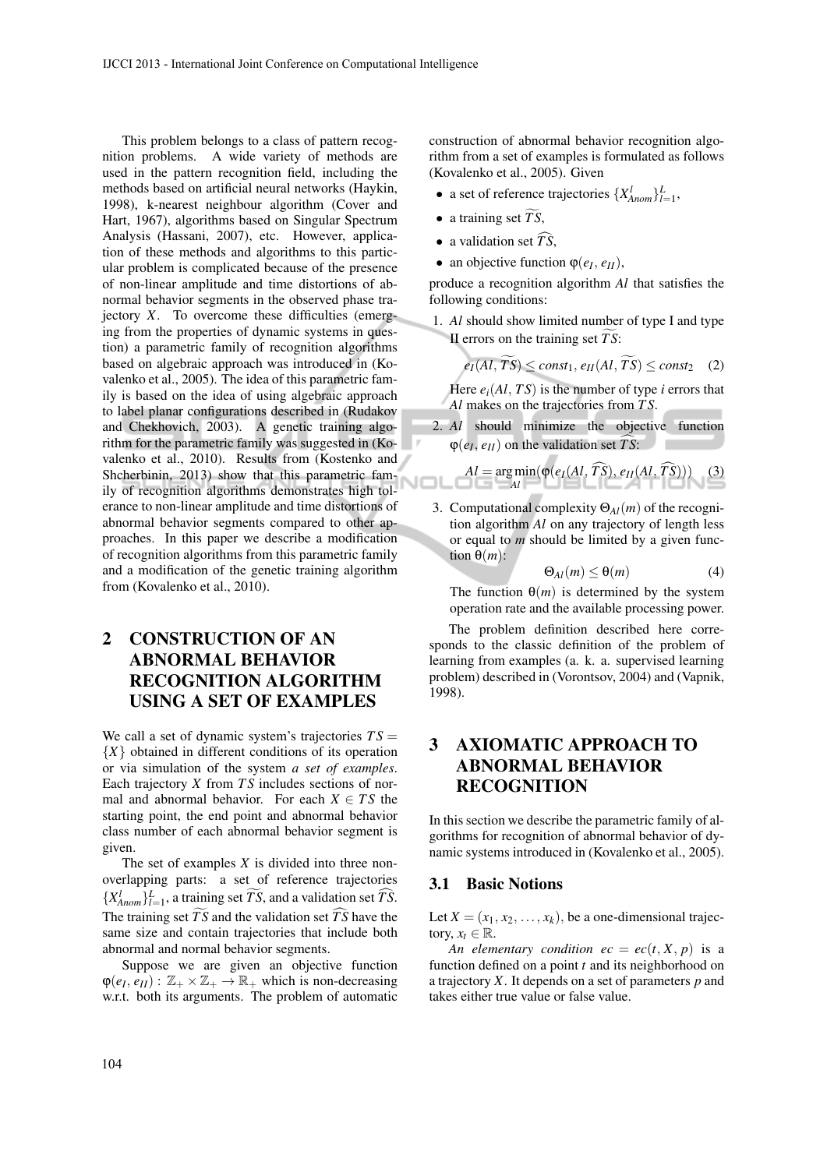This problem belongs to a class of pattern recognition problems. A wide variety of methods are used in the pattern recognition field, including the methods based on artificial neural networks (Haykin, 1998), k-nearest neighbour algorithm (Cover and Hart, 1967), algorithms based on Singular Spectrum Analysis (Hassani, 2007), etc. However, application of these methods and algorithms to this particular problem is complicated because of the presence of non-linear amplitude and time distortions of abnormal behavior segments in the observed phase trajectory *X*. To overcome these difficulties (emerging from the properties of dynamic systems in question) a parametric family of recognition algorithms based on algebraic approach was introduced in (Kovalenko et al., 2005). The idea of this parametric family is based on the idea of using algebraic approach to label planar configurations described in (Rudakov and Chekhovich, 2003). A genetic training algorithm for the parametric family was suggested in (Kovalenko et al., 2010). Results from (Kostenko and Shcherbinin, 2013) show that this parametric family of recognition algorithms demonstrates high tolerance to non-linear amplitude and time distortions of abnormal behavior segments compared to other approaches. In this paper we describe a modification of recognition algorithms from this parametric family and a modification of the genetic training algorithm from (Kovalenko et al., 2010).

# 2 CONSTRUCTION OF AN ABNORMAL BEHAVIOR RECOGNITION ALGORITHM USING A SET OF EXAMPLES

We call a set of dynamic system's trajectories  $TS =$ {*X*} obtained in different conditions of its operation or via simulation of the system *a set of examples*. Each trajectory *X* from *T S* includes sections of normal and abnormal behavior. For each  $X \in TS$  the starting point, the end point and abnormal behavior class number of each abnormal behavior segment is given.

The set of examples *X* is divided into three nonoverlapping parts: a set of reference trajectories  $\{X_{\text{Anom}}^l\}_{l=1}^L$ , a training set  $\widetilde{TS}$ , and a validation set  $\widehat{TS}$ . The training set  $\widetilde{TS}$  and the validation set  $\widehat{TS}$  have the same size and contain trajectories that include both abnormal and normal behavior segments.

Suppose we are given an objective function  $\varphi(e_I, e_{II}) : \mathbb{Z}_+ \times \mathbb{Z}_+ \to \mathbb{R}_+$  which is non-decreasing w.r.t. both its arguments. The problem of automatic construction of abnormal behavior recognition algorithm from a set of examples is formulated as follows (Kovalenko et al., 2005). Given

- a set of reference trajectories  $\{X_{Anom}^l\}_{l=1}^L$ ,
- a training set  $\widetilde{TS}$ ,

l٢

- a validation set  $\widehat{TS}$ .
- an objective function  $\varphi(e_I, e_{II}),$

produce a recognition algorithm *Al* that satisfies the following conditions:

1. *Al* should show limited number of type I and type II errors on the training set *TS*:

$$
e_I(Al, TS) \leq const_1, e_{II}(Al, TS) \leq const_2 \quad (2)
$$

Here  $e_i(AI, TS)$  is the number of type *i* errors that *Al* makes on the trajectories from *T S*.

2. *Al* should minimize the objective function **COLLEGE**  $\varphi(e_I, e_{II})$  on the validation set *TS*:

$$
Al = \underset{Al}{\arg\min} (\varphi(e_I(AI, \widehat{TS}), e_{II}(Al, \widehat{TS}))) \quad (3)
$$

3. Computational complexity Θ*Al*(*m*) of the recognition algorithm *Al* on any trajectory of length less or equal to *m* should be limited by a given function  $\theta(m)$ :

$$
\Theta_{Al}(m) \leq \Theta(m) \tag{4}
$$

The function  $\Theta(m)$  is determined by the system operation rate and the available processing power.

The problem definition described here corresponds to the classic definition of the problem of learning from examples (a. k. a. supervised learning problem) described in (Vorontsov, 2004) and (Vapnik, 1998).

# 3 AXIOMATIC APPROACH TO ABNORMAL BEHAVIOR RECOGNITION

In this section we describe the parametric family of algorithms for recognition of abnormal behavior of dynamic systems introduced in (Kovalenko et al., 2005).

### 3.1 Basic Notions

Let  $X = (x_1, x_2, \ldots, x_k)$ , be a one-dimensional trajectory,  $x_t \in \mathbb{R}$ .

*An elementary condition*  $ec = ec(t, X, p)$  *is a* function defined on a point *t* and its neighborhood on a trajectory *X*. It depends on a set of parameters *p* and takes either true value or false value.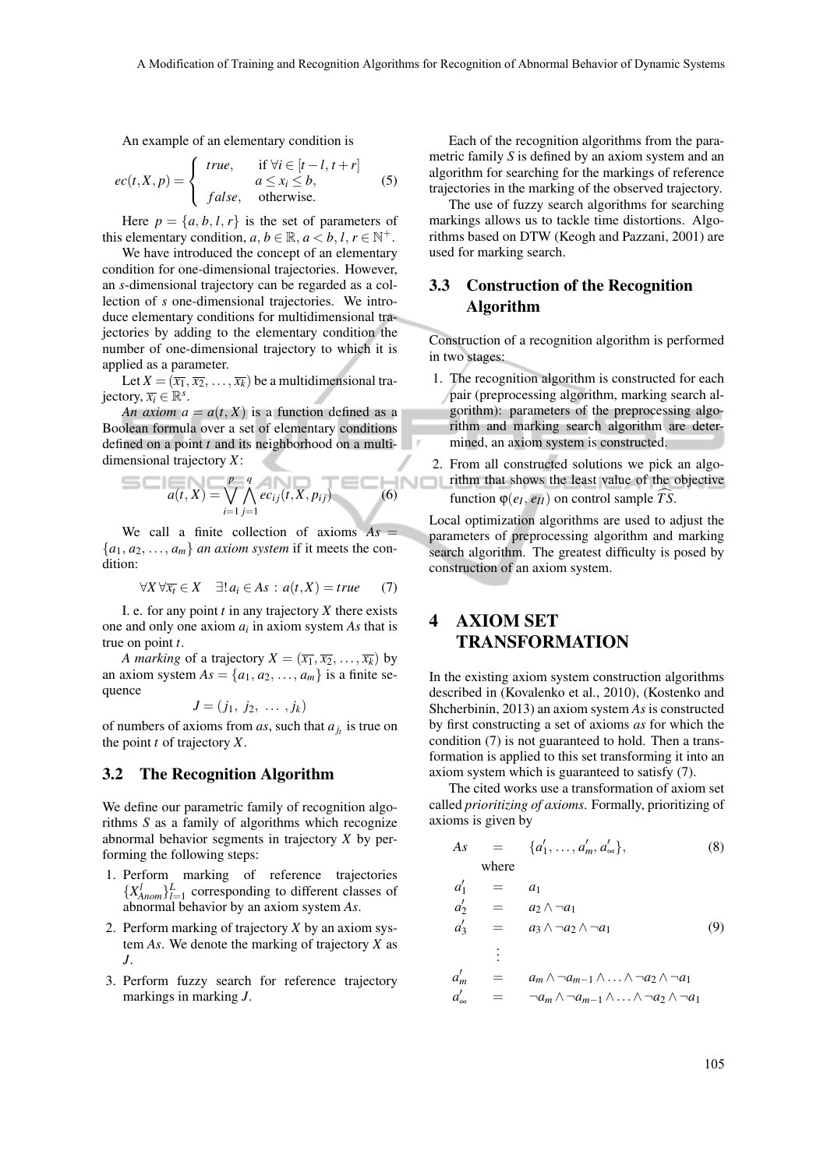. .

An example of an elementary condition is

$$
ec(t, X, p) = \begin{cases} true, & \text{if } \forall i \in [t-l, t+r] \\ a \le x_i \le b, \\ false, & \text{otherwise.} \end{cases}
$$
 (5)

Here  $p = \{a, b, l, r\}$  is the set of parameters of this elementary condition,  $a, b \in \mathbb{R}, a < b, l, r \in \mathbb{N}^+$ .

We have introduced the concept of an elementary condition for one-dimensional trajectories. However, an *s*-dimensional trajectory can be regarded as a collection of *s* one-dimensional trajectories. We introduce elementary conditions for multidimensional trajectories by adding to the elementary condition the number of one-dimensional trajectory to which it is applied as a parameter.

Let  $X = (\overline{x_1}, \overline{x_2}, \dots, \overline{x_k})$  be a multidimensional trajectory,  $\overline{x_i} \in \mathbb{R}^s$ .

*An axiom*  $a = a(t, X)$  *is a function defined as a* Boolean formula over a set of elementary conditions defined on a point *t* and its neighborhood on a multidimensional trajectory *X*:

$$
a(t, X) = \bigvee_{i=1}^{p} \bigwedge_{j=1}^{q} ec_{ij}(t, X, p_{ij}) \tag{6}
$$

We call a finite collection of axioms  $As =$  ${a_1, a_2, \ldots, a_m}$  *an axiom system* if it meets the condition:

$$
\forall X \,\forall \overline{x_t} \in X \quad \exists! \, a_i \in As : a(t, X) = true \tag{7}
$$

I. e. for any point *t* in any trajectory *X* there exists one and only one axiom *a<sup>i</sup>* in axiom system *As* that is true on point *t*.

*A marking* of a trajectory  $X = (\overline{x_1}, \overline{x_2}, \dots, \overline{x_k})$  by an axiom system  $As = \{a_1, a_2, \ldots, a_m\}$  is a finite sequence

$$
J=(j_1, j_2, \ldots, j_k)
$$

of numbers of axioms from *as*, such that  $a_{j_t}$  is true on the point *t* of trajectory *X*.

### 3.2 The Recognition Algorithm

We define our parametric family of recognition algorithms *S* as a family of algorithms which recognize abnormal behavior segments in trajectory *X* by performing the following steps:

- 1. Perform marking of reference trajectories  $\{X_{Anom}^l\}_{l=1}^L$  corresponding to different classes of abnormal behavior by an axiom system *As*.
- 2. Perform marking of trajectory *X* by an axiom system *As*. We denote the marking of trajectory *X* as *J*.
- 3. Perform fuzzy search for reference trajectory markings in marking *J*.

Each of the recognition algorithms from the parametric family *S* is defined by an axiom system and an algorithm for searching for the markings of reference trajectories in the marking of the observed trajectory.

The use of fuzzy search algorithms for searching markings allows us to tackle time distortions. Algorithms based on DTW (Keogh and Pazzani, 2001) are used for marking search.

### 3.3 Construction of the Recognition Algorithm

Construction of a recognition algorithm is performed in two stages:

- 1. The recognition algorithm is constructed for each pair (preprocessing algorithm, marking search algorithm): parameters of the preprocessing algorithm and marking search algorithm are determined, an axiom system is constructed.
- 2. From all constructed solutions we pick an algo**rithm that shows the least value of the objective** function  $\varphi(e_I, e_{II})$  on control sample *TS*.

Local optimization algorithms are used to adjust the parameters of preprocessing algorithm and marking search algorithm. The greatest difficulty is posed by construction of an axiom system.

## 4 AXIOM SET TRANSFORMATION

In the existing axiom system construction algorithms described in (Kovalenko et al., 2010), (Kostenko and Shcherbinin, 2013) an axiom system *As* is constructed by first constructing a set of axioms *as* for which the condition (7) is not guaranteed to hold. Then a transformation is applied to this set transforming it into an axiom system which is guaranteed to satisfy (7).

The cited works use a transformation of axiom set called *prioritizing of axioms*. Formally, prioritizing of axioms is given by

$$
As = \{a'_1, \dots, a'_m, a'_\infty\},
$$
 (8) where

where

$$
\begin{array}{rcl}\na'_1 &=& a_1 \\
a'_2 &=& a_2 \wedge \neg a_1\n\end{array}
$$

$$
a'_3 = a_3 \wedge \neg a_2 \wedge \neg a_1 \tag{9}
$$

$$
\begin{array}{rcl}\n\vdots \\
a'_m & = & a_m \wedge \neg a_{m-1} \wedge \ldots \wedge \neg a_2 \wedge \neg a_1 \\
a'_\infty & = & \neg a_m \wedge \neg a_{m-1} \wedge \ldots \wedge \neg a_2 \wedge \neg a_1\n\end{array}
$$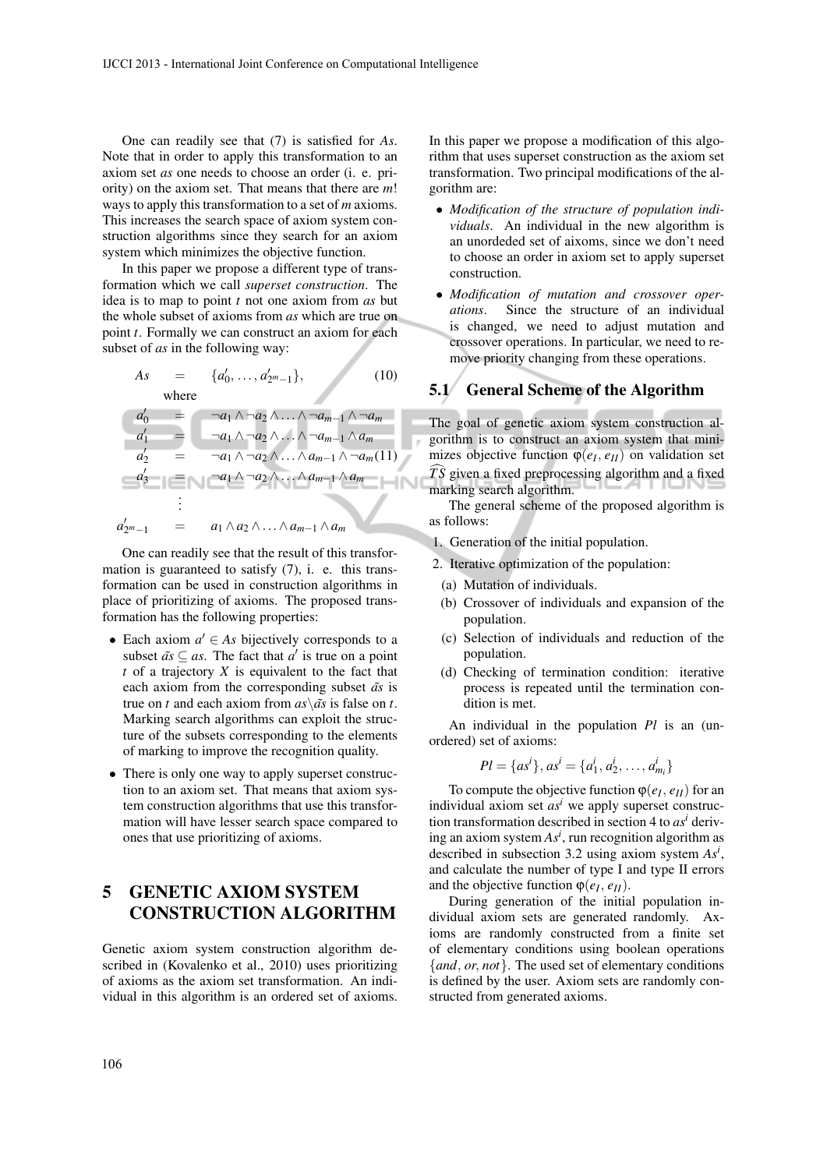One can readily see that (7) is satisfied for *As*. Note that in order to apply this transformation to an axiom set *as* one needs to choose an order (i. e. priority) on the axiom set. That means that there are *m*! ways to apply this transformation to a set of *m* axioms. This increases the search space of axiom system construction algorithms since they search for an axiom system which minimizes the objective function.

In this paper we propose a different type of transformation which we call *superset construction*. The idea is to map to point *t* not one axiom from *as* but the whole subset of axioms from *as* which are true on point *t*. Formally we can construct an axiom for each subset of *as* in the following way:

As = {
$$
a'_0
$$
,...,  $a'_{2^m-1}$ }, (10)  
where

*a*  $\overline{\phantom{a}}$  $\alpha_0$  =  $\neg a_1 \wedge \neg a_2 \wedge \ldots \wedge \neg a_{m-1} \wedge \neg a_m$ *a*  $\overline{1}$  $\alpha_1$  =  $\neg a_1 \wedge \neg a_2 \wedge \ldots \wedge \neg a_{m-1} \wedge a_m$ *a*  $\overline{\phantom{a}}$  $\alpha_2' = \neg a_1 \wedge \neg a_2 \wedge \ldots \wedge a_{m-1} \wedge \neg a_m(11)$ *a*  $\overline{a}$ <sup>3</sup> = ¬*a*<sup>1</sup> ∧ ¬*a*<sup>2</sup> ∧...∧*am*−<sup>1</sup> ∧*a<sup>m</sup>* . . . *a* 0  $= a_1 \wedge a_2 \wedge \ldots \wedge a_{m-1} \wedge a_m$ 

One can readily see that the result of this transformation is guaranteed to satisfy (7), i. e. this transformation can be used in construction algorithms in place of prioritizing of axioms. The proposed transformation has the following properties:

- Each axiom  $a' \in As$  bijectively corresponds to a subset  $\tilde{a} s \subseteq a s$ . The fact that  $a'$  is true on a point *t* of a trajectory *X* is equivalent to the fact that each axiom from the corresponding subset  $\tilde{a}$ s is true on *t* and each axiom from  $as\overline{\ }$ *as'* is false on *t*.Marking search algorithms can exploit the structure of the subsets corresponding to the elements of marking to improve the recognition quality.
- There is only one way to apply superset construction to an axiom set. That means that axiom system construction algorithms that use this transformation will have lesser search space compared to ones that use prioritizing of axioms.

# 5 GENETIC AXIOM SYSTEM CONSTRUCTION ALGORITHM

Genetic axiom system construction algorithm described in (Kovalenko et al., 2010) uses prioritizing of axioms as the axiom set transformation. An individual in this algorithm is an ordered set of axioms. In this paper we propose a modification of this algorithm that uses superset construction as the axiom set transformation. Two principal modifications of the algorithm are:

- *Modification of the structure of population individuals*. An individual in the new algorithm is an unordeded set of aixoms, since we don't need to choose an order in axiom set to apply superset construction.
- *Modification of mutation and crossover operations*. Since the structure of an individual is changed, we need to adjust mutation and crossover operations. In particular, we need to remove priority changing from these operations.

### 5.1 General Scheme of the Algorithm

The goal of genetic axiom system construction algorithm is to construct an axiom system that minimizes objective function  $\varphi(e_I, e_{II})$  on validation set  $\widehat{TS}$  given a fixed preprocessing algorithm and a fixed marking search algorithm.

The general scheme of the proposed algorithm is as follows:

- 1. Generation of the initial population.
- 2. Iterative optimization of the population:
	- (a) Mutation of individuals.
	- (b) Crossover of individuals and expansion of the population.
	- (c) Selection of individuals and reduction of the population.
	- (d) Checking of termination condition: iterative process is repeated until the termination condition is met.

An individual in the population *Pl* is an (unordered) set of axioms:

$$
Pl = \{as^i\}, as^i = \{a_1^i, a_2^i, \dots, a_{m_i}^i\}
$$

To compute the objective function  $\varphi(e_I, e_{II})$  for an individual axiom set  $as<sup>i</sup>$  we apply superset construction transformation described in section 4 to *as<sup>i</sup>* deriving an axiom system *As<sup>i</sup>* , run recognition algorithm as described in subsection 3.2 using axiom system *As<sup>i</sup>* , and calculate the number of type I and type II errors and the objective function  $\varphi(e_I, e_{II})$ .

During generation of the initial population individual axiom sets are generated randomly. Axioms are randomly constructed from a finite set of elementary conditions using boolean operations {*and*, *or*, *not*}. The used set of elementary conditions is defined by the user. Axiom sets are randomly constructed from generated axioms.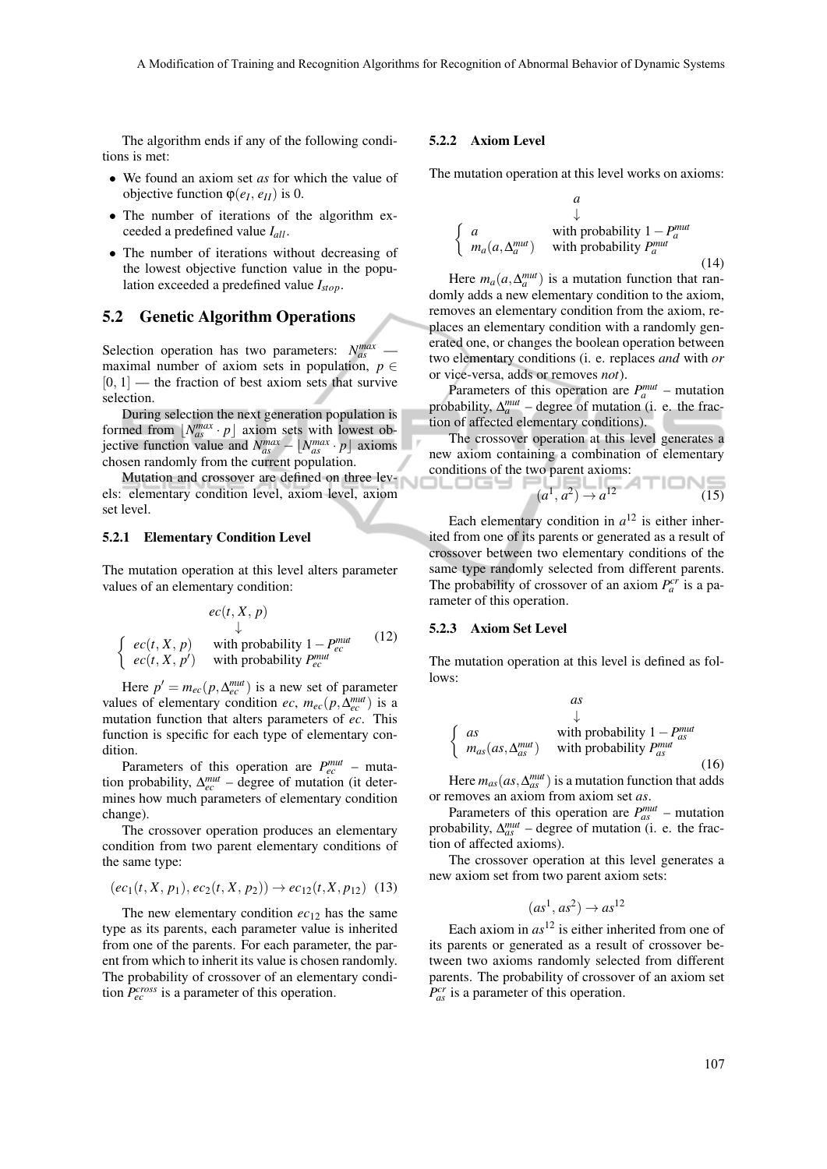The algorithm ends if any of the following conditions is met:

- We found an axiom set *as* for which the value of objective function ϕ(*e<sup>I</sup>* , *eII*) is 0.
- The number of iterations of the algorithm exceeded a predefined value *Iall*.
- The number of iterations without decreasing of the lowest objective function value in the population exceeded a predefined value *Istop*.

### 5.2 Genetic Algorithm Operations

Selection operation has two parameters:  $N_{as}^{max}$  maximal number of axiom sets in population,  $p \in$  $[0, 1]$  — the fraction of best axiom sets that survive selection.

During selection the next generation population is formed from  $\lfloor N_{as}^{max} \cdot p \rfloor$  axiom sets with lowest ob- $\int$ jective function value and  $N_{as}^{max} - \lfloor N_{as}^{max} \cdot p \rfloor$  axioms chosen randomly from the current population.

Mutation and crossover are defined on three levels: elementary condition level, axiom level, axiom set level.

#### 5.2.1 Elementary Condition Level

The mutation operation at this level alters parameter values of an elementary condition:

$$
ec(t, X, p)
$$
  
\n
$$
\downarrow
$$
  
\n
$$
ec(t, X, p)
$$
 with probability  $1-P_{ec}^{mut}$  (12)  
\n
$$
ec(t, X, p')
$$
 with probability  $P_{ec}^{mut}$ 

Here  $p' = m_{ec}(p, \Delta_{ec}^{mut})$  is a new set of parameter values of elementary condition *ec*,  $m_{ec}(p, \Delta_{ec}^{mut})$  is a mutation function that alters parameters of *ec*. This function is specific for each type of elementary condition.

Parameters of this operation are  $P_{ec}^{mut}$  – mutation probability,  $\Delta_{ec}^{mut}$  – degree of mutation (it determines how much parameters of elementary condition change).

The crossover operation produces an elementary condition from two parent elementary conditions of the same type:

$$
(ec_1(t, X, p_1), ec_2(t, X, p_2)) \rightarrow ec_{12}(t, X, p_{12})
$$
 (13)

The new elementary condition  $ec_{12}$  has the same type as its parents, each parameter value is inherited from one of the parents. For each parameter, the parent from which to inherit its value is chosen randomly. The probability of crossover of an elementary condition  $P_{ec}^{cross}$  is a parameter of this operation.

#### 5.2.2 Axiom Level

The mutation operation at this level works on axioms:

$$
\begin{cases}\na & \downarrow \\
a & \text{with probability } 1 - P_a^{mut} \\
m_a(a, \Delta_a^{mut}) & \text{with probability } P_a^{mut}\n\end{cases}
$$
\n(14)

Here  $m_a(a, \Delta_a^{mut})$  is a mutation function that randomly adds a new elementary condition to the axiom, removes an elementary condition from the axiom, replaces an elementary condition with a randomly generated one, or changes the boolean operation between two elementary conditions (i. e. replaces *and* with *or* or vice-versa, adds or removes *not*).

Parameters of this operation are  $P_a^{mut}$  – mutation probability,  $\Delta_n^{mut}$  – degree of mutation (i. e. the fraction of affected elementary conditions).

The crossover operation at this level generates a new axiom containing a combination of elementary conditions of the two parent axioms:

$$
(a^1, a^2) \to a^{12}
$$
 (15)

Each elementary condition in  $a^{12}$  is either inherited from one of its parents or generated as a result of crossover between two elementary conditions of the same type randomly selected from different parents. The probability of crossover of an axiom  $P_a^{cr}$  is a parameter of this operation.

#### 5.2.3 Axiom Set Level

-----

The mutation operation at this level is defined as follows:

$$
\begin{cases}\nas & \downarrow \\
\text{with probability } 1 - P_{as}^{mut} \\
m_{as}(as, \Delta_{as}^{mut}) & \text{with probability } P_{as}^{mut}\n\end{cases}
$$
\n(16)

Here  $m_{as}(as, \Delta_{as}^{mut})$  is a mutation function that adds or removes an axiom from axiom set *as*.

Parameters of this operation are  $P_{as}^{mut}$  – mutation probability,  $\Delta_{as}^{mut}$  – degree of mutation (i. e. the fraction of affected axioms).

The crossover operation at this level generates a new axiom set from two parent axiom sets:

$$
(as^1, as^2) \rightarrow as^{12}
$$

Each axiom in  $as^{12}$  is either inherited from one of its parents or generated as a result of crossover between two axioms randomly selected from different parents. The probability of crossover of an axiom set *P cr as* is a parameter of this operation.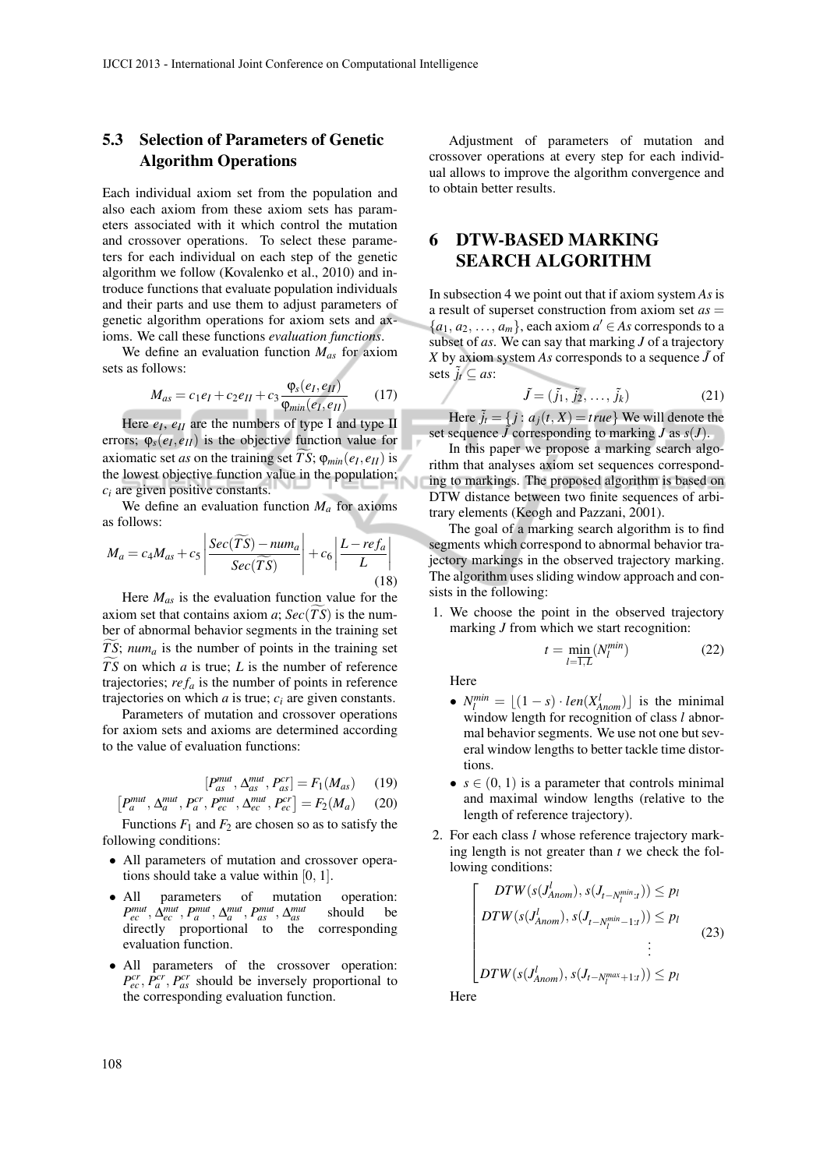## 5.3 Selection of Parameters of Genetic Algorithm Operations

Each individual axiom set from the population and also each axiom from these axiom sets has parameters associated with it which control the mutation and crossover operations. To select these parameters for each individual on each step of the genetic algorithm we follow (Kovalenko et al., 2010) and introduce functions that evaluate population individuals and their parts and use them to adjust parameters of genetic algorithm operations for axiom sets and axioms. We call these functions *evaluation functions*.

We define an evaluation function *Mas* for axiom sets as follows:

$$
M_{as} = c_1 e_I + c_2 e_{II} + c_3 \frac{\varphi_s(e_I, e_{II})}{\varphi_{min}(e_I, e_{II})}
$$
 (17)

Here  $e_I$ ,  $e_{II}$  are the numbers of type I and type II errors;  $\varphi_s(e_I, e_{II})$  is the objective function value for axiomatic set *as* on the training set *TS*;  $\varphi_{min}(e_I, e_{II})$  is the lowest objective function value in the population; *c<sup>i</sup>* are given positive constants.

We define an evaluation function  $M_a$  for axioms as follows:

$$
M_a = c_4 M_{as} + c_5 \left| \frac{Sec(\widetilde{TS}) - num_a}{Sec(\widetilde{TS})} \right| + c_6 \left| \frac{L - ref_a}{L} \right|
$$
\n(18)

Here *Mas* is the evaluation function value for the axiom set that contains axiom  $a$ ;  $Sec(TS)$  is the number of abnormal behavior segments in the training set *TS*;  $num_a$  is the number of points in the training set *TS* on which *a* is true; *L* is the number of reference trajectories;  $ref_a$  is the number of points in reference trajectories on which  $a$  is true;  $c_i$  are given constants.

Parameters of mutation and crossover operations for axiom sets and axioms are determined according to the value of evaluation functions:

$$
[P_{as}^{mut}, \Delta_{as}^{mut}, P_{as}^{cr}] = F_1(M_{as}) \qquad (19)
$$

$$
P_a^{mut}, \Delta_a^{mut}, P_a^{cr}, P_{ec}^{mut}, \Delta_{ec}^{mut}, P_{ec}^{cr}] = F_2(M_a) \quad (20)
$$

Functions  $F_1$  and  $F_2$  are chosen so as to satisfy the following conditions:

- All parameters of mutation and crossover operations should take a value within [0, 1].
- All parameters of mutation operation:  $P_{ec}^{mut}, \Delta_{ec}^{mut}, P_{a}^{mut}, \Delta_{a}^{mut}, P_{as}^{mut}, \Delta_{as}^{mut}$ *as* should be directly proportional to the corresponding evaluation function.
- All parameters of the crossover operation:  $P_{ec}^{cr}$ ,  $P_a^{cr}$ ,  $P_{as}^{cr}$  should be inversely proportional to the corresponding evaluation function.

Adjustment of parameters of mutation and crossover operations at every step for each individual allows to improve the algorithm convergence and to obtain better results.

## 6 DTW-BASED MARKING SEARCH ALGORITHM

In subsection 4 we point out that if axiom system *As* is a result of superset construction from axiom set *as* =  $\{a_1, a_2, \ldots, a_m\}$ , each axiom  $a' \in As$  corresponds to a subset of *as*. We can say that marking *J* of a trajectory *X* by axiom system *As* corresponds to a sequence  $\tilde{J}$  of sets  $\tilde{j}_t \subseteq as$ :

$$
\tilde{J} = (\tilde{j}_1, \tilde{j}_2, \dots, \tilde{j}_k) \tag{21}
$$

Here  $\tilde{j}_t = \{j : a_j(t, X) = true\}$  We will denote the set sequence  $\hat{J}$  corresponding to marking  $J$  as  $s(J)$ .

In this paper we propose a marking search algorithm that analyses axiom set sequences corresponding to markings. The proposed algorithm is based on DTW distance between two finite sequences of arbitrary elements (Keogh and Pazzani, 2001).

The goal of a marking search algorithm is to find segments which correspond to abnormal behavior trajectory markings in the observed trajectory marking. The algorithm uses sliding window approach and consists in the following:

1. We choose the point in the observed trajectory marking *J* from which we start recognition:

$$
t = \min_{l=1, L} (N_l^{\min}) \tag{22}
$$

Here

- $N_l^{min} = \lfloor (1-s) \cdot len(X_{\text{Anom}}^l) \rfloor$  is the minimal window length for recognition of class *l* abnormal behavior segments. We use not one but several window lengths to better tackle time distortions.
- $s \in (0, 1)$  is a parameter that controls minimal and maximal window lengths (relative to the length of reference trajectory).
- 2. For each class *l* whose reference trajectory marking length is not greater than *t* we check the following conditions:

$$
\begin{bmatrix}\nDTW(s(J_{Anom}^l), s(J_{t-N_l^{min}:t})) \le p_l \\
DTW(s(J_{Anom}^l), s(J_{t-N_l^{min}-1:t})) \le p_l \\
\vdots \\
DTW(s(J_{Anom}^l), s(J_{t-N_l^{max}+1:t})) \le p_l\n\end{bmatrix}
$$
\n(23)

**Here** 

 $\lceil$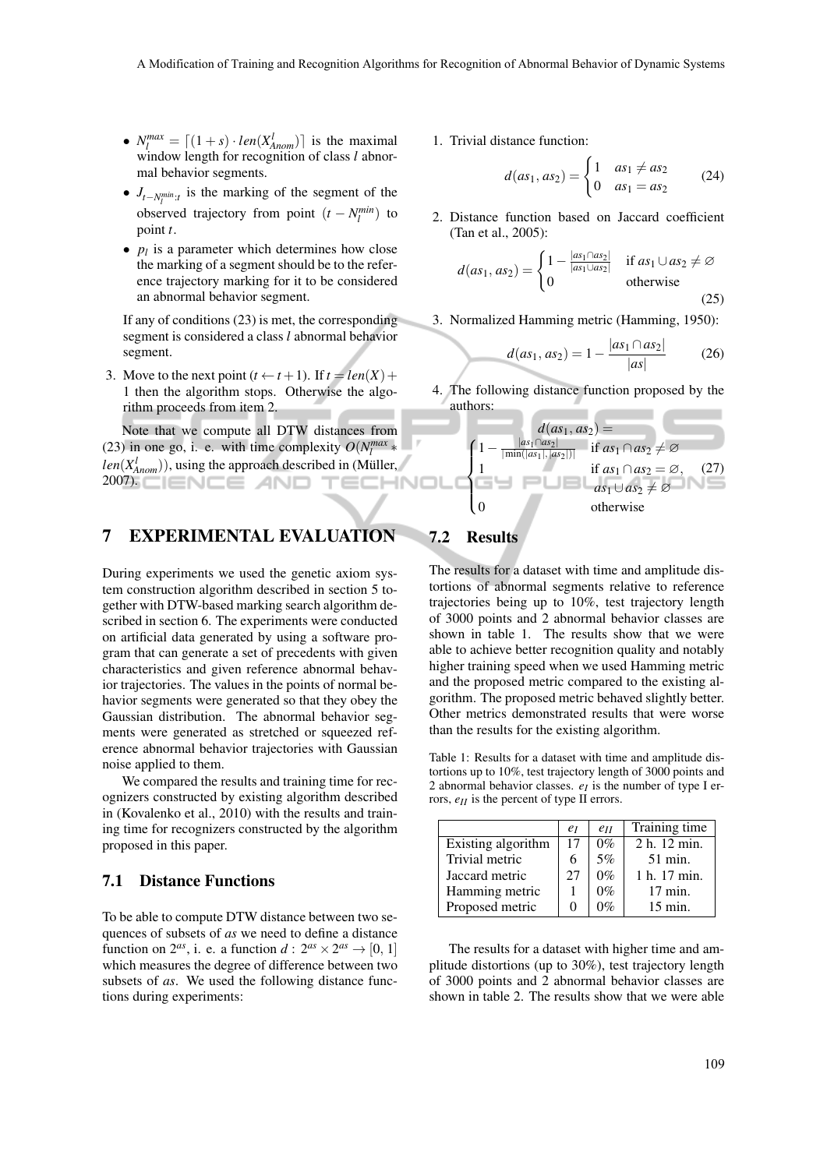- $N_l^{max} = \lfloor (1+s) \cdot len(X_{\text{Anom}}^l) \rfloor$  is the maximal window length for recognition of class *l* abnormal behavior segments.
- $J_{t-N_l^{min}:t}$  is the marking of the segment of the observed trajectory from point  $(t - N_l^{min})$  to point *t*.
- $p_l$  is a parameter which determines how close the marking of a segment should be to the reference trajectory marking for it to be considered an abnormal behavior segment.

If any of conditions (23) is met, the corresponding segment is considered a class *l* abnormal behavior segment.

3. Move to the next point  $(t \leftarrow t+1)$ . If  $t = len(X) +$ 1 then the algorithm stops. Otherwise the algorithm proceeds from item 2.

Note that we compute all DTW distances from (23) in one go, i. e. with time complexity  $O(N_l^{max})$  $len(X_{Anom}^l)$ ), using the approach described in (Müller, 2007).

## 7 EXPERIMENTAL EVALUATION

During experiments we used the genetic axiom system construction algorithm described in section 5 together with DTW-based marking search algorithm described in section 6. The experiments were conducted on artificial data generated by using a software program that can generate a set of precedents with given characteristics and given reference abnormal behavior trajectories. The values in the points of normal behavior segments were generated so that they obey the Gaussian distribution. The abnormal behavior segments were generated as stretched or squeezed reference abnormal behavior trajectories with Gaussian noise applied to them.

We compared the results and training time for recognizers constructed by existing algorithm described in (Kovalenko et al., 2010) with the results and training time for recognizers constructed by the algorithm proposed in this paper.

### 7.1 Distance Functions

To be able to compute DTW distance between two sequences of subsets of *as* we need to define a distance function on  $2^{as}$ , i. e. a function  $d: 2^{as} \times 2^{as} \rightarrow [0, 1]$ which measures the degree of difference between two subsets of *as*. We used the following distance functions during experiments:

1. Trivial distance function:

$$
d(as_1, as_2) = \begin{cases} 1 & as_1 \neq as_2 \\ 0 & as_1 = as_2 \end{cases}
$$
 (24)

2. Distance function based on Jaccard coefficient (Tan et al., 2005):

$$
d(as_1, as_2) = \begin{cases} 1 - \frac{|as_1 \cap as_2|}{|as_1 \cup as_2|} & \text{if } as_1 \cup as_2 \neq \varnothing \\ 0 & \text{otherwise} \end{cases}
$$
 (25)

3. Normalized Hamming metric (Hamming, 1950):

$$
d(as_1, as_2) = 1 - \frac{|as_1 \cap as_2|}{|as|} \tag{26}
$$

4. The following distance function proposed by the authors:

$$
d(as_1, as_2) =
$$
\n
$$
\begin{cases}\n1 - \frac{|as_1 \cap as_2|}{|\min(|as_1|,|as_2|)|} & \text{if } as_1 \cap as_2 \neq \emptyset \\
1 & \text{if } as_1 \cap as_2 = \emptyset, \quad (27) \\
& \text{if } as_1 \cup as_2 \neq \emptyset \\
0 & \text{otherwise}\n\end{cases}
$$

# 7.2 Results

The results for a dataset with time and amplitude distortions of abnormal segments relative to reference trajectories being up to 10%, test trajectory length of 3000 points and 2 abnormal behavior classes are shown in table 1. The results show that we were able to achieve better recognition quality and notably higher training speed when we used Hamming metric and the proposed metric compared to the existing algorithm. The proposed metric behaved slightly better. Other metrics demonstrated results that were worse than the results for the existing algorithm.

Table 1: Results for a dataset with time and amplitude distortions up to 10%, test trajectory length of 3000 points and 2 abnormal behavior classes.  $e_I$  is the number of type I errors, *eII* is the percent of type II errors.

|                    | $e_I$ | $e_{II}$ | Training time      |
|--------------------|-------|----------|--------------------|
| Existing algorithm | 17    | $0\%$    | 2 h. 12 min.       |
| Trivial metric     |       | 5%       | $51$ min.          |
| Jaccard metric     | 27    | $0\%$    | 1 h. 17 min.       |
| Hamming metric     |       | $0\%$    | $17 \text{ min.}$  |
| Proposed metric    |       | $0\%$    | $15 \text{ min}$ . |

The results for a dataset with higher time and amplitude distortions (up to 30%), test trajectory length of 3000 points and 2 abnormal behavior classes are shown in table 2. The results show that we were able